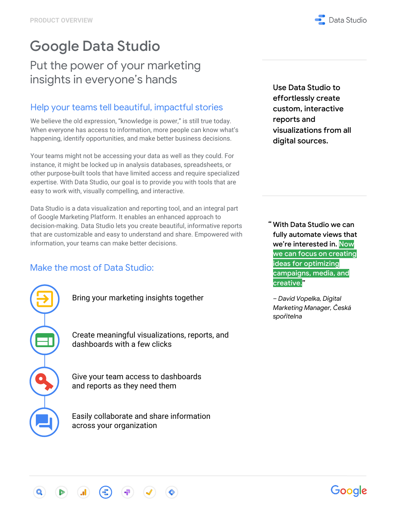# Google Data Studio

## Put the power of your marketing insights in everyone's hands

### Help your teams tell beautiful, impactful stories

We believe the old expression, "knowledge is power," is still true today. When everyone has access to information, more people can know what's happening, identify opportunities, and make better business decisions.

Your teams might not be accessing your data as well as they could. For instance, it might be locked up in analysis databases, spreadsheets, or other purpose-built tools that have limited access and require specialized expertise. With Data Studio, our goal is to provide you with tools that are easy to work with, visually compelling, and interactive.

Data Studio is a data visualization and reporting tool, and an integral part of Google Marketing Platform. It enables an enhanced approach to decision-making. Data Studio lets you create beautiful, informative reports that are customizable and easy to understand and share. Empowered with information, your teams can make better decisions.

### Make the most of Data Studio:

Bring your marketing insights together

Create meaningful visualizations, reports, and dashboards with a few clicks

Give your team access to dashboards and reports as they need them

Easily collaborate and share information across your organization

Use Data Studio to effortlessly create custom, interactive reports and visualizations from all digital sources.

" With Data Studio we can fully automate views that we're interested in. Now we can focus on creating ideas for optimizing campaigns, media, and creative."

*– David Vopelka, Digital Marketing Manager, Česká spořitelna*